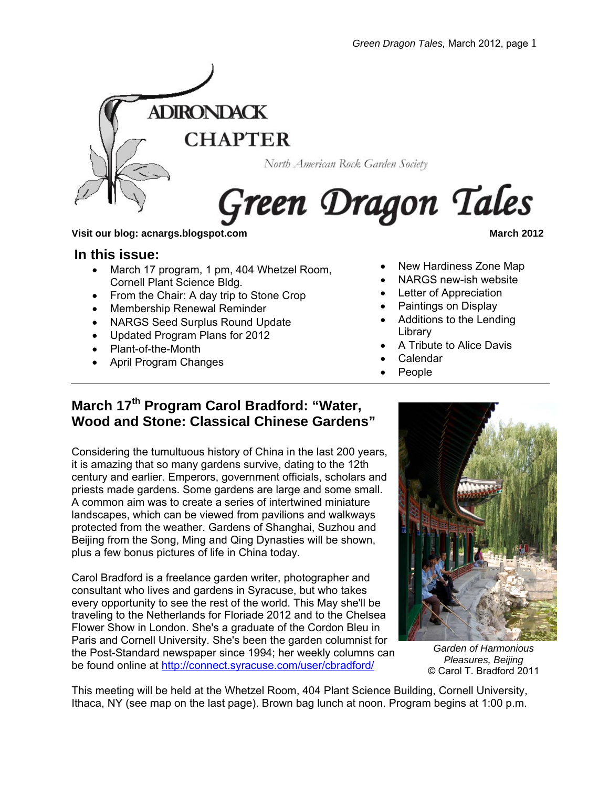

North American Rock Garden Society

# Green Dragon Tales

#### **Visit our blog: acnargs.blogspot.com March 2012**

### **In this issue:**

- March 17 program, 1 pm, 404 Whetzel Room, Cornell Plant Science Bldg.
- From the Chair: A day trip to Stone Crop
- Membership Renewal Reminder
- NARGS Seed Surplus Round Update
- Updated Program Plans for 2012
- Plant-of-the-Month
- April Program Changes

- New Hardiness Zone Map
- NARGS new-ish website
- Letter of Appreciation
- Paintings on Display
- Additions to the Lending Library
- A Tribute to Alice Davis
- Calendar
- People

# **March 17th Program Carol Bradford: "Water, Wood and Stone: Classical Chinese Gardens"**

Considering the tumultuous history of China in the last 200 years, it is amazing that so many gardens survive, dating to the 12th century and earlier. Emperors, government officials, scholars and priests made gardens. Some gardens are large and some small. A common aim was to create a series of intertwined miniature landscapes, which can be viewed from pavilions and walkways protected from the weather. Gardens of Shanghai, Suzhou and Beijing from the Song, Ming and Qing Dynasties will be shown, plus a few bonus pictures of life in China today.

Carol Bradford is a freelance garden writer, photographer and consultant who lives and gardens in Syracuse, but who takes every opportunity to see the rest of the world. This May she'll be traveling to the Netherlands for Floriade 2012 and to the Chelsea Flower Show in London. She's a graduate of the Cordon Bleu in Paris and Cornell University. She's been the garden columnist for the Post-Standard newspaper since 1994; her weekly columns can be found online at http://connect.syracuse.com/user/cbradford/



*Garden of Harmonious Pleasures, Beijing*  © Carol T. Bradford 2011

This meeting will be held at the Whetzel Room, 404 Plant Science Building, Cornell University, Ithaca, NY (see map on the last page). Brown bag lunch at noon. Program begins at 1:00 p.m.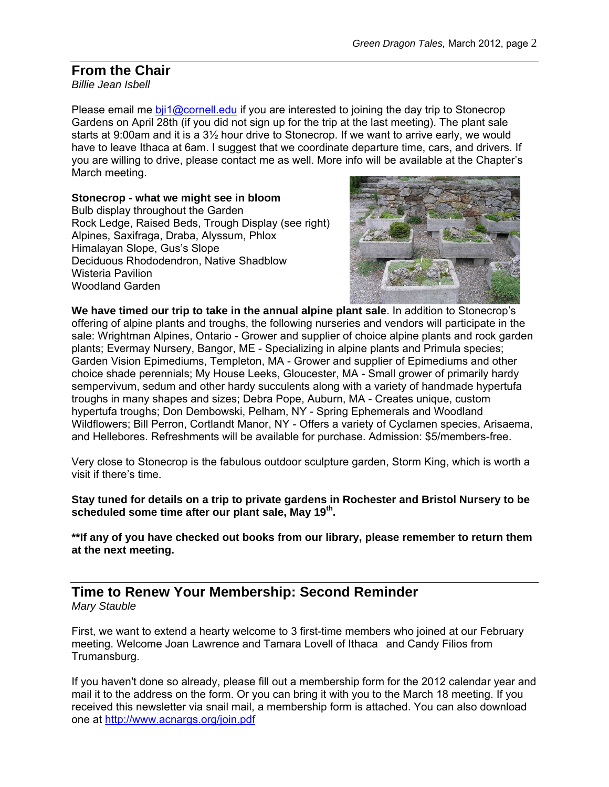## **From the Chair**

*Billie Jean Isbell* 

Please email me bji1@cornell.edu if you are interested to joining the day trip to Stonecrop Gardens on April 28th (if you did not sign up for the trip at the last meeting). The plant sale starts at 9:00am and it is a 3½ hour drive to Stonecrop. If we want to arrive early, we would have to leave Ithaca at 6am. I suggest that we coordinate departure time, cars, and drivers. If you are willing to drive, please contact me as well. More info will be available at the Chapter's March meeting.

**Stonecrop - what we might see in bloom**  Bulb display throughout the Garden

Rock Ledge, Raised Beds, Trough Display (see right) Alpines, Saxifraga, Draba, Alyssum, Phlox Himalayan Slope, Gus's Slope Deciduous Rhododendron, Native Shadblow Wisteria Pavilion Woodland Garden



**We have timed our trip to take in the annual alpine plant sale**. In addition to Stonecrop's offering of alpine plants and troughs, the following nurseries and vendors will participate in the sale: Wrightman Alpines, Ontario - Grower and supplier of choice alpine plants and rock garden plants; Evermay Nursery, Bangor, ME - Specializing in alpine plants and Primula species; Garden Vision Epimediums, Templeton, MA - Grower and supplier of Epimediums and other choice shade perennials; My House Leeks, Gloucester, MA - Small grower of primarily hardy sempervivum, sedum and other hardy succulents along with a variety of handmade hypertufa troughs in many shapes and sizes; Debra Pope, Auburn, MA - Creates unique, custom hypertufa troughs; Don Dembowski, Pelham, NY - Spring Ephemerals and Woodland Wildflowers; Bill Perron, Cortlandt Manor, NY - Offers a variety of Cyclamen species, Arisaema, and Hellebores. Refreshments will be available for purchase. Admission: \$5/members-free.

Very close to Stonecrop is the fabulous outdoor sculpture garden, Storm King, which is worth a visit if there's time.

**Stay tuned for details on a trip to private gardens in Rochester and Bristol Nursery to be scheduled some time after our plant sale, May 19th.** 

**\*\*If any of you have checked out books from our library, please remember to return them at the next meeting.** 

**Time to Renew Your Membership: Second Reminder** 

*Mary Stauble* 

First, we want to extend a hearty welcome to 3 first-time members who joined at our February meeting. Welcome Joan Lawrence and Tamara Lovell of Ithaca and Candy Filios from Trumansburg.

If you haven't done so already, please fill out a membership form for the 2012 calendar year and mail it to the address on the form. Or you can bring it with you to the March 18 meeting. If you received this newsletter via snail mail, a membership form is attached. You can also download one at http://www.acnargs.org/join.pdf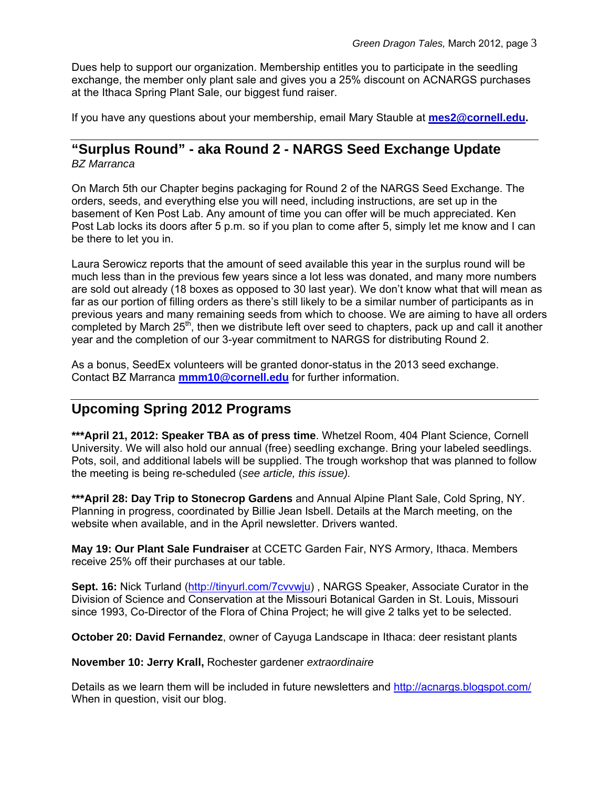Dues help to support our organization. Membership entitles you to participate in the seedling exchange, the member only plant sale and gives you a 25% discount on ACNARGS purchases at the Ithaca Spring Plant Sale, our biggest fund raiser.

If you have any questions about your membership, email Mary Stauble at **mes2@cornell.edu.**

#### **"Surplus Round" - aka Round 2 - NARGS Seed Exchange Update**  *BZ Marranca*

On March 5th our Chapter begins packaging for Round 2 of the NARGS Seed Exchange. The orders, seeds, and everything else you will need, including instructions, are set up in the basement of Ken Post Lab. Any amount of time you can offer will be much appreciated. Ken Post Lab locks its doors after 5 p.m. so if you plan to come after 5, simply let me know and I can be there to let you in.

Laura Serowicz reports that the amount of seed available this year in the surplus round will be much less than in the previous few years since a lot less was donated, and many more numbers are sold out already (18 boxes as opposed to 30 last year). We don't know what that will mean as far as our portion of filling orders as there's still likely to be a similar number of participants as in previous years and many remaining seeds from which to choose. We are aiming to have all orders completed by March  $25<sup>th</sup>$ , then we distribute left over seed to chapters, pack up and call it another year and the completion of our 3-year commitment to NARGS for distributing Round 2.

As a bonus, SeedEx volunteers will be granted donor-status in the 2013 seed exchange. Contact BZ Marranca **mmm10@cornell.edu** for further information.

# **Upcoming Spring 2012 Programs**

**\*\*\*April 21, 2012: Speaker TBA as of press time**. Whetzel Room, 404 Plant Science, Cornell University. We will also hold our annual (free) seedling exchange. Bring your labeled seedlings. Pots, soil, and additional labels will be supplied. The trough workshop that was planned to follow the meeting is being re-scheduled (*see article, this issue).*

**\*\*\*April 28: Day Trip to Stonecrop Gardens** and Annual Alpine Plant Sale, Cold Spring, NY. Planning in progress, coordinated by Billie Jean Isbell. Details at the March meeting, on the website when available, and in the April newsletter. Drivers wanted.

**May 19: Our Plant Sale Fundraiser** at CCETC Garden Fair, NYS Armory, Ithaca. Members receive 25% off their purchases at our table.

**Sept. 16:** Nick Turland (http://tinyurl.com/7cvvwju) , NARGS Speaker, Associate Curator in the Division of Science and Conservation at the Missouri Botanical Garden in St. Louis, Missouri since 1993, Co-Director of the Flora of China Project; he will give 2 talks yet to be selected.

**October 20: David Fernandez**, owner of Cayuga Landscape in Ithaca: deer resistant plants

**November 10: Jerry Krall,** Rochester gardener *extraordinaire*

Details as we learn them will be included in future newsletters and http://acnargs.blogspot.com/ When in question, visit our blog.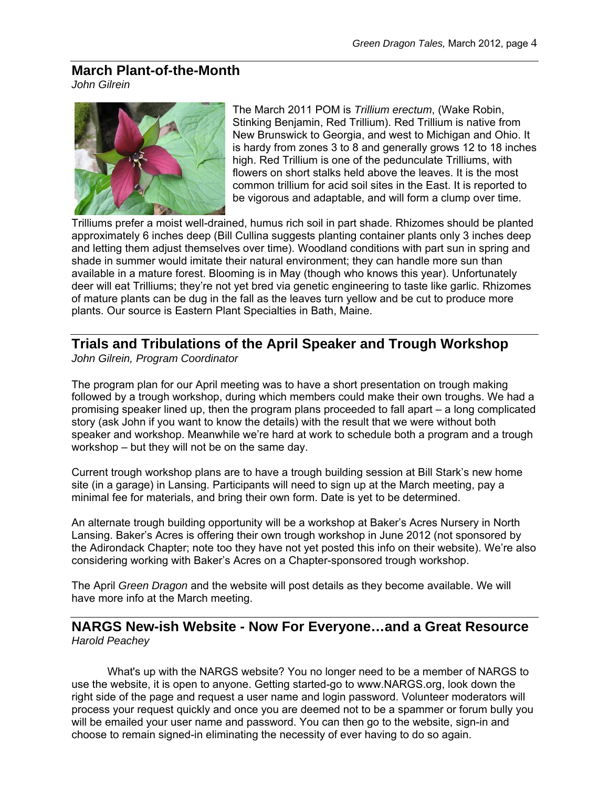### **March Plant-of-the-Month**

*John Gilrein* 



The March 2011 POM is *Trillium erectum*, (Wake Robin, Stinking Benjamin, Red Trillium). Red Trillium is native from New Brunswick to Georgia, and west to Michigan and Ohio. It is hardy from zones 3 to 8 and generally grows 12 to 18 inches high. Red Trillium is one of the pedunculate Trilliums, with flowers on short stalks held above the leaves. It is the most common trillium for acid soil sites in the East. It is reported to be vigorous and adaptable, and will form a clump over time.

Trilliums prefer a moist well-drained, humus rich soil in part shade. Rhizomes should be planted approximately 6 inches deep (Bill Cullina suggests planting container plants only 3 inches deep and letting them adjust themselves over time). Woodland conditions with part sun in spring and shade in summer would imitate their natural environment; they can handle more sun than available in a mature forest. Blooming is in May (though who knows this year). Unfortunately deer will eat Trilliums; they're not yet bred via genetic engineering to taste like garlic. Rhizomes of mature plants can be dug in the fall as the leaves turn yellow and be cut to produce more plants. Our source is Eastern Plant Specialties in Bath, Maine.

# **Trials and Tribulations of the April Speaker and Trough Workshop**

*John Gilrein, Program Coordinator* 

The program plan for our April meeting was to have a short presentation on trough making followed by a trough workshop, during which members could make their own troughs. We had a promising speaker lined up, then the program plans proceeded to fall apart – a long complicated story (ask John if you want to know the details) with the result that we were without both speaker and workshop. Meanwhile we're hard at work to schedule both a program and a trough workshop – but they will not be on the same day.

Current trough workshop plans are to have a trough building session at Bill Stark's new home site (in a garage) in Lansing. Participants will need to sign up at the March meeting, pay a minimal fee for materials, and bring their own form. Date is yet to be determined.

An alternate trough building opportunity will be a workshop at Baker's Acres Nursery in North Lansing. Baker's Acres is offering their own trough workshop in June 2012 (not sponsored by the Adirondack Chapter; note too they have not yet posted this info on their website). We're also considering working with Baker's Acres on a Chapter-sponsored trough workshop.

The April *Green Dragon* and the website will post details as they become available. We will have more info at the March meeting.

### **NARGS New-ish Website - Now For Everyone…and a Great Resource**  *Harold Peachey*

 What's up with the NARGS website? You no longer need to be a member of NARGS to use the website, it is open to anyone. Getting started-go to www.NARGS.org, look down the right side of the page and request a user name and login password. Volunteer moderators will process your request quickly and once you are deemed not to be a spammer or forum bully you will be emailed your user name and password. You can then go to the website, sign-in and choose to remain signed-in eliminating the necessity of ever having to do so again.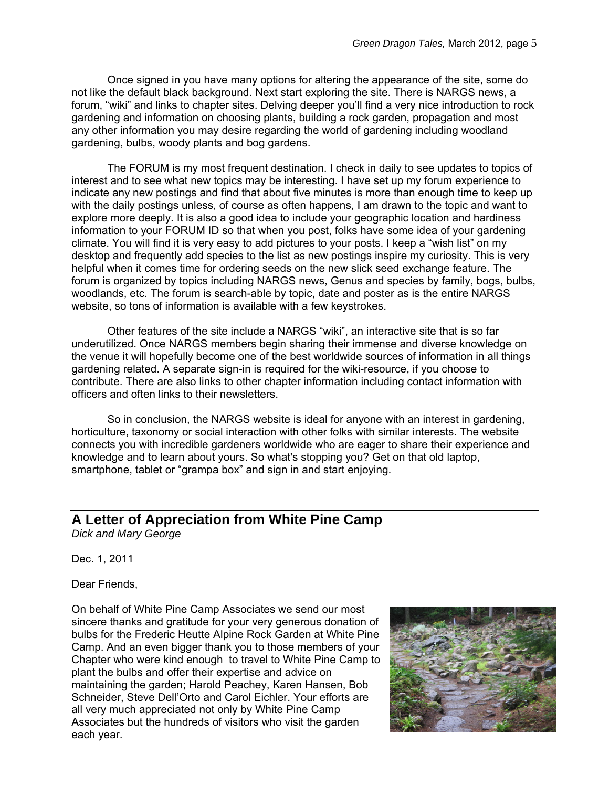Once signed in you have many options for altering the appearance of the site, some do not like the default black background. Next start exploring the site. There is NARGS news, a forum, "wiki" and links to chapter sites. Delving deeper you'll find a very nice introduction to rock gardening and information on choosing plants, building a rock garden, propagation and most any other information you may desire regarding the world of gardening including woodland gardening, bulbs, woody plants and bog gardens.

 The FORUM is my most frequent destination. I check in daily to see updates to topics of interest and to see what new topics may be interesting. I have set up my forum experience to indicate any new postings and find that about five minutes is more than enough time to keep up with the daily postings unless, of course as often happens, I am drawn to the topic and want to explore more deeply. It is also a good idea to include your geographic location and hardiness information to your FORUM ID so that when you post, folks have some idea of your gardening climate. You will find it is very easy to add pictures to your posts. I keep a "wish list" on my desktop and frequently add species to the list as new postings inspire my curiosity. This is very helpful when it comes time for ordering seeds on the new slick seed exchange feature. The forum is organized by topics including NARGS news, Genus and species by family, bogs, bulbs, woodlands, etc. The forum is search-able by topic, date and poster as is the entire NARGS website, so tons of information is available with a few keystrokes.

 Other features of the site include a NARGS "wiki", an interactive site that is so far underutilized. Once NARGS members begin sharing their immense and diverse knowledge on the venue it will hopefully become one of the best worldwide sources of information in all things gardening related. A separate sign-in is required for the wiki-resource, if you choose to contribute. There are also links to other chapter information including contact information with officers and often links to their newsletters.

 So in conclusion, the NARGS website is ideal for anyone with an interest in gardening, horticulture, taxonomy or social interaction with other folks with similar interests. The website connects you with incredible gardeners worldwide who are eager to share their experience and knowledge and to learn about yours. So what's stopping you? Get on that old laptop, smartphone, tablet or "grampa box" and sign in and start enjoying.

## **A Letter of Appreciation from White Pine Camp**

*Dick and Mary George* 

Dec. 1, 2011

Dear Friends,

On behalf of White Pine Camp Associates we send our most sincere thanks and gratitude for your very generous donation of bulbs for the Frederic Heutte Alpine Rock Garden at White Pine Camp. And an even bigger thank you to those members of your Chapter who were kind enough to travel to White Pine Camp to plant the bulbs and offer their expertise and advice on maintaining the garden; Harold Peachey, Karen Hansen, Bob Schneider, Steve Dell'Orto and Carol Eichler. Your efforts are all very much appreciated not only by White Pine Camp Associates but the hundreds of visitors who visit the garden each year.

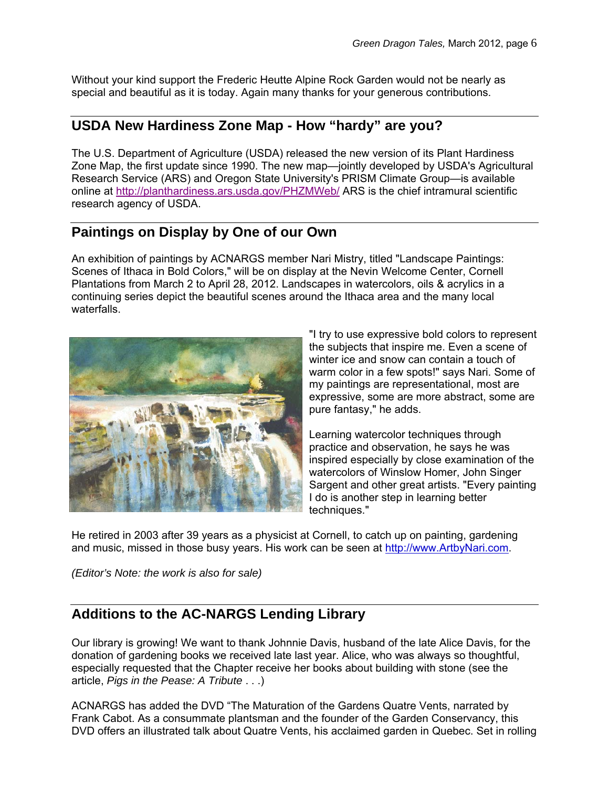Without your kind support the Frederic Heutte Alpine Rock Garden would not be nearly as special and beautiful as it is today. Again many thanks for your generous contributions.

## **USDA New Hardiness Zone Map - How "hardy" are you?**

The U.S. Department of Agriculture (USDA) released the new version of its Plant Hardiness Zone Map, the first update since 1990. The new map—jointly developed by USDA's Agricultural Research Service (ARS) and Oregon State University's PRISM Climate Group—is available online at http://planthardiness.ars.usda.gov/PHZMWeb/ ARS is the chief intramural scientific research agency of USDA.

## **Paintings on Display by One of our Own**

An exhibition of paintings by ACNARGS member Nari Mistry, titled "Landscape Paintings: Scenes of Ithaca in Bold Colors," will be on display at the Nevin Welcome Center, Cornell Plantations from March 2 to April 28, 2012. Landscapes in watercolors, oils & acrylics in a continuing series depict the beautiful scenes around the Ithaca area and the many local waterfalls.



"I try to use expressive bold colors to represent the subjects that inspire me. Even a scene of winter ice and snow can contain a touch of warm color in a few spots!" says Nari. Some of my paintings are representational, most are expressive, some are more abstract, some are pure fantasy," he adds.

Learning watercolor techniques through practice and observation, he says he was inspired especially by close examination of the watercolors of Winslow Homer, John Singer Sargent and other great artists. "Every painting I do is another step in learning better techniques."

He retired in 2003 after 39 years as a physicist at Cornell, to catch up on painting, gardening and music, missed in those busy years. His work can be seen at http://www.ArtbyNari.com.

*(Editor's Note: the work is also for sale)* 

# **Additions to the AC-NARGS Lending Library**

Our library is growing! We want to thank Johnnie Davis, husband of the late Alice Davis, for the donation of gardening books we received late last year. Alice, who was always so thoughtful, especially requested that the Chapter receive her books about building with stone (see the article, *Pigs in the Pease: A Tribute* . . .)

ACNARGS has added the DVD "The Maturation of the Gardens Quatre Vents, narrated by Frank Cabot. As a consummate plantsman and the founder of the Garden Conservancy, this DVD offers an illustrated talk about Quatre Vents, his acclaimed garden in Quebec. Set in rolling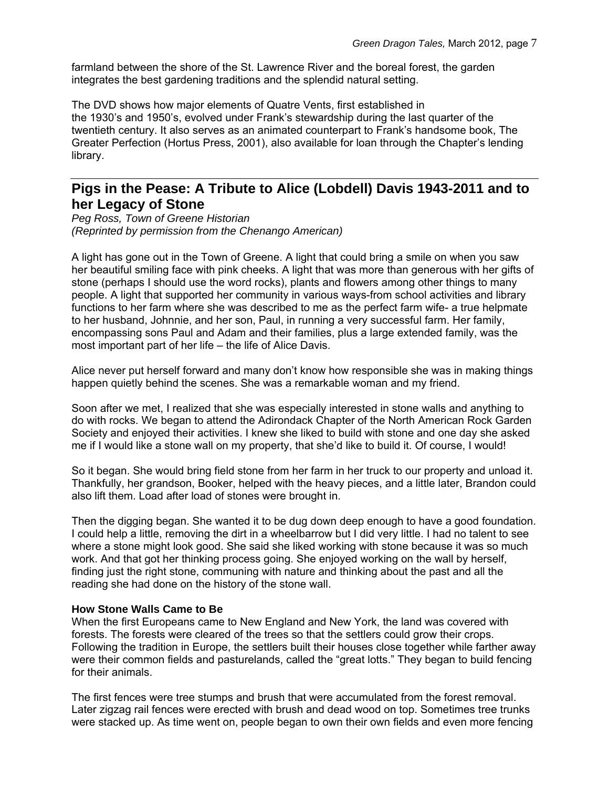farmland between the shore of the St. Lawrence River and the boreal forest, the garden integrates the best gardening traditions and the splendid natural setting.

The DVD shows how major elements of Quatre Vents, first established in the 1930's and 1950's, evolved under Frank's stewardship during the last quarter of the twentieth century. It also serves as an animated counterpart to Frank's handsome book, The Greater Perfection (Hortus Press, 2001), also available for loan through the Chapter's lending library.

## **Pigs in the Pease: A Tribute to Alice (Lobdell) Davis 1943-2011 and to her Legacy of Stone**

*Peg Ross, Town of Greene Historian (Reprinted by permission from the Chenango American)* 

A light has gone out in the Town of Greene. A light that could bring a smile on when you saw her beautiful smiling face with pink cheeks. A light that was more than generous with her gifts of stone (perhaps I should use the word rocks), plants and flowers among other things to many people. A light that supported her community in various ways-from school activities and library functions to her farm where she was described to me as the perfect farm wife- a true helpmate to her husband, Johnnie, and her son, Paul, in running a very successful farm. Her family, encompassing sons Paul and Adam and their families, plus a large extended family, was the most important part of her life – the life of Alice Davis.

Alice never put herself forward and many don't know how responsible she was in making things happen quietly behind the scenes. She was a remarkable woman and my friend.

Soon after we met, I realized that she was especially interested in stone walls and anything to do with rocks. We began to attend the Adirondack Chapter of the North American Rock Garden Society and enjoyed their activities. I knew she liked to build with stone and one day she asked me if I would like a stone wall on my property, that she'd like to build it. Of course, I would!

So it began. She would bring field stone from her farm in her truck to our property and unload it. Thankfully, her grandson, Booker, helped with the heavy pieces, and a little later, Brandon could also lift them. Load after load of stones were brought in.

Then the digging began. She wanted it to be dug down deep enough to have a good foundation. I could help a little, removing the dirt in a wheelbarrow but I did very little. I had no talent to see where a stone might look good. She said she liked working with stone because it was so much work. And that got her thinking process going. She enjoyed working on the wall by herself, finding just the right stone, communing with nature and thinking about the past and all the reading she had done on the history of the stone wall.

#### **How Stone Walls Came to Be**

When the first Europeans came to New England and New York, the land was covered with forests. The forests were cleared of the trees so that the settlers could grow their crops. Following the tradition in Europe, the settlers built their houses close together while farther away were their common fields and pasturelands, called the "great lotts." They began to build fencing for their animals.

The first fences were tree stumps and brush that were accumulated from the forest removal. Later zigzag rail fences were erected with brush and dead wood on top. Sometimes tree trunks were stacked up. As time went on, people began to own their own fields and even more fencing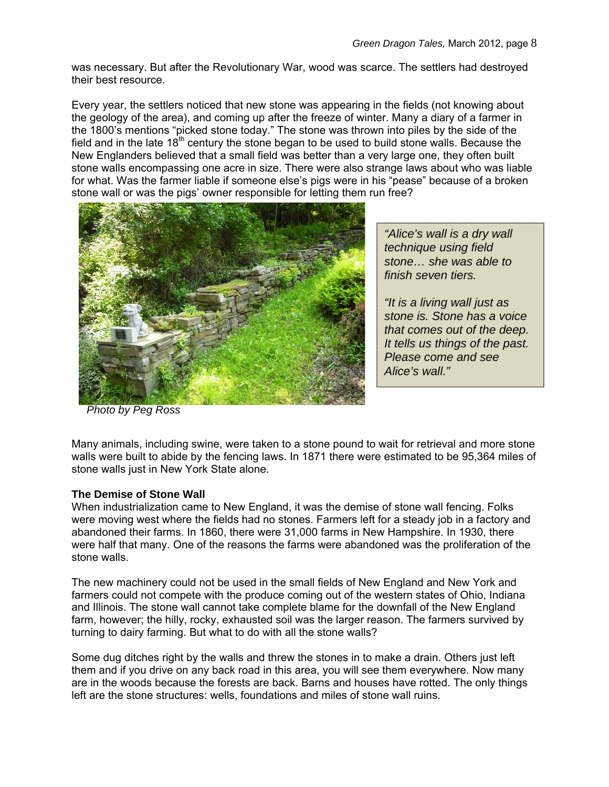was necessary. But after the Revolutionary War, wood was scarce. The settlers had destroyed their best resource.

Every year, the settlers noticed that new stone was appearing in the fields (not knowing about the geology of the area), and coming up after the freeze of winter. Many a diary of a farmer in the 1800's mentions "picked stone today." The stone was thrown into piles by the side of the field and in the late  $18<sup>th</sup>$  century the stone began to be used to build stone walls. Because the New Englanders believed that a small field was better than a very large one, they often built stone walls encompassing one acre in size. There were also strange laws about who was liable for what. Was the farmer liable if someone else's pigs were in his "pease" because of a broken stone wall or was the pigs' owner responsible for letting them run free?



*"Alice's wall is a dry wall technique using field stone… she was able to finish seven tiers.* 

*"It is a living wall just as stone is. Stone has a voice that comes out of the deep. It tells us things of the past. Please come and see Alice's wall."* 

*Photo by Peg Ross* 

Many animals, including swine, were taken to a stone pound to wait for retrieval and more stone walls were built to abide by the fencing laws. In 1871 there were estimated to be 95,364 miles of stone walls just in New York State alone.

#### **The Demise of Stone Wall**

When industrialization came to New England, it was the demise of stone wall fencing. Folks were moving west where the fields had no stones. Farmers left for a steady job in a factory and abandoned their farms. In 1860, there were 31,000 farms in New Hampshire. In 1930, there were half that many. One of the reasons the farms were abandoned was the proliferation of the stone walls.

The new machinery could not be used in the small fields of New England and New York and farmers could not compete with the produce coming out of the western states of Ohio, Indiana and Illinois. The stone wall cannot take complete blame for the downfall of the New England farm, however; the hilly, rocky, exhausted soil was the larger reason. The farmers survived by turning to dairy farming. But what to do with all the stone walls?

Some dug ditches right by the walls and threw the stones in to make a drain. Others just left them and if you drive on any back road in this area, you will see them everywhere. Now many are in the woods because the forests are back. Barns and houses have rotted. The only things left are the stone structures: wells, foundations and miles of stone wall ruins.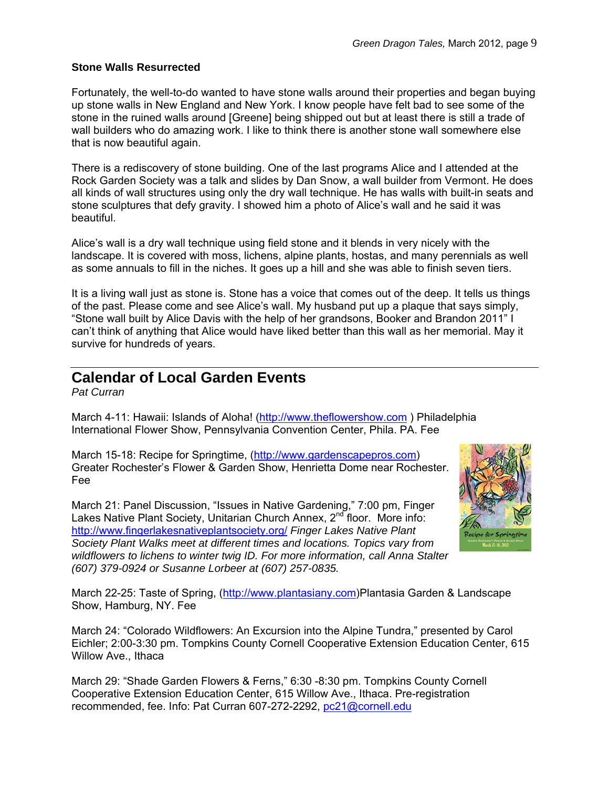#### **Stone Walls Resurrected**

Fortunately, the well-to-do wanted to have stone walls around their properties and began buying up stone walls in New England and New York. I know people have felt bad to see some of the stone in the ruined walls around [Greene] being shipped out but at least there is still a trade of wall builders who do amazing work. I like to think there is another stone wall somewhere else that is now beautiful again.

There is a rediscovery of stone building. One of the last programs Alice and I attended at the Rock Garden Society was a talk and slides by Dan Snow, a wall builder from Vermont. He does all kinds of wall structures using only the dry wall technique. He has walls with built-in seats and stone sculptures that defy gravity. I showed him a photo of Alice's wall and he said it was beautiful.

Alice's wall is a dry wall technique using field stone and it blends in very nicely with the landscape. It is covered with moss, lichens, alpine plants, hostas, and many perennials as well as some annuals to fill in the niches. It goes up a hill and she was able to finish seven tiers.

It is a living wall just as stone is. Stone has a voice that comes out of the deep. It tells us things of the past. Please come and see Alice's wall. My husband put up a plaque that says simply, "Stone wall built by Alice Davis with the help of her grandsons, Booker and Brandon 2011" I can't think of anything that Alice would have liked better than this wall as her memorial. May it survive for hundreds of years.

# **Calendar of Local Garden Events**

*Pat Curran* 

March 4-11: Hawaii: Islands of Aloha! (http://www.theflowershow.com ) Philadelphia International Flower Show, Pennsylvania Convention Center, Phila. PA. Fee

March 15-18: Recipe for Springtime, (http://www.gardenscapepros.com) Greater Rochester's Flower & Garden Show, Henrietta Dome near Rochester. Fee

March 21: Panel Discussion, "Issues in Native Gardening," 7:00 pm, Finger Lakes Native Plant Society, Unitarian Church Annex, 2<sup>nd</sup> floor. More info: http://www.fingerlakesnativeplantsociety.org/ *Finger Lakes Native Plant Society Plant Walks meet at different times and locations. Topics vary from wildflowers to lichens to winter twig ID. For more information, call Anna Stalter (607) 379-0924 or Susanne Lorbeer at (607) 257-0835.* 



March 22-25: Taste of Spring, (http://www.plantasiany.com)Plantasia Garden & Landscape Show, Hamburg, NY. Fee

March 24: "Colorado Wildflowers: An Excursion into the Alpine Tundra," presented by Carol Eichler; 2:00-3:30 pm. Tompkins County Cornell Cooperative Extension Education Center, 615 Willow Ave., Ithaca

March 29: "Shade Garden Flowers & Ferns," 6:30 -8:30 pm. Tompkins County Cornell Cooperative Extension Education Center, 615 Willow Ave., Ithaca. Pre-registration recommended, fee. Info: Pat Curran 607-272-2292, pc21@cornell.edu